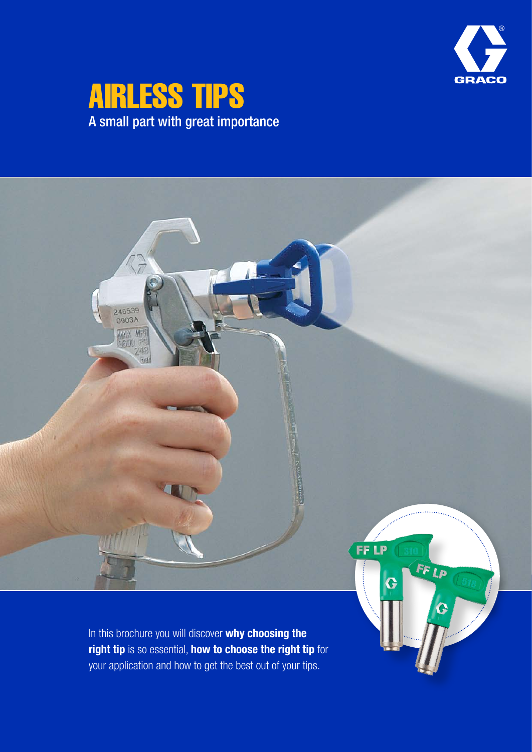

# AIRLESS TIPS A small part with great importance

 $\mathbb{C}^2$ 246539<br>0903A MAX MPR  $248$ **FF LP** FF LP G In this brochure you will discover why choosing the

right tip is so essential, how to choose the right tip for your application and how to get the best out of your tips.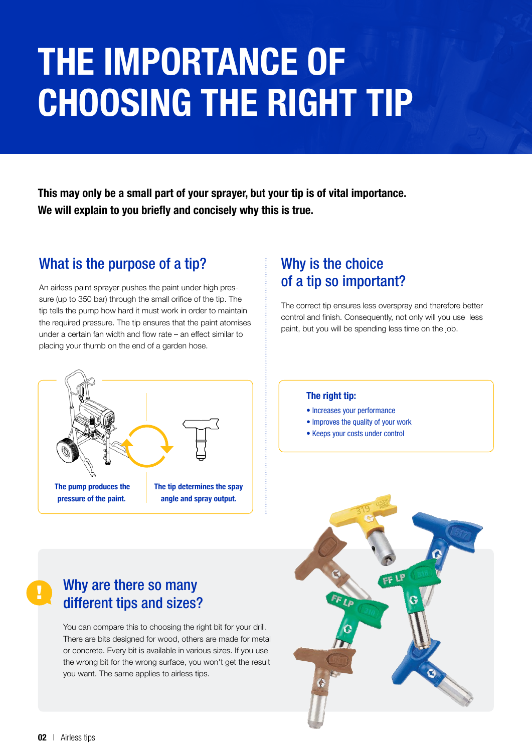# THE IMPORTANCE OF CHOOSING THE RIGHT TIP

This may only be a small part of your sprayer, but your tip is of vital importance. We will explain to you briefly and concisely why this is true.

# What is the purpose of a tip?

An airless paint sprayer pushes the paint under high pressure (up to 350 bar) through the small orifice of the tip. The tip tells the pump how hard it must work in order to maintain the required pressure. The tip ensures that the paint atomises under a certain fan width and flow rate – an effect similar to placing your thumb on the end of a garden hose.

# Why is the choice of a tip so important?

The correct tip ensures less overspray and therefore better control and finish. Consequently, not only will you use less paint, but you will be spending less time on the job.



#### The right tip:

- Increases your performance
- Improves the quality of your work
- Keeps your costs under control



You can compare this to choosing the right bit for your drill. There are bits designed for wood, others are made for metal or concrete. Every bit is available in various sizes. If you use the wrong bit for the wrong surface, you won't get the result you want. The same applies to airless tips.



!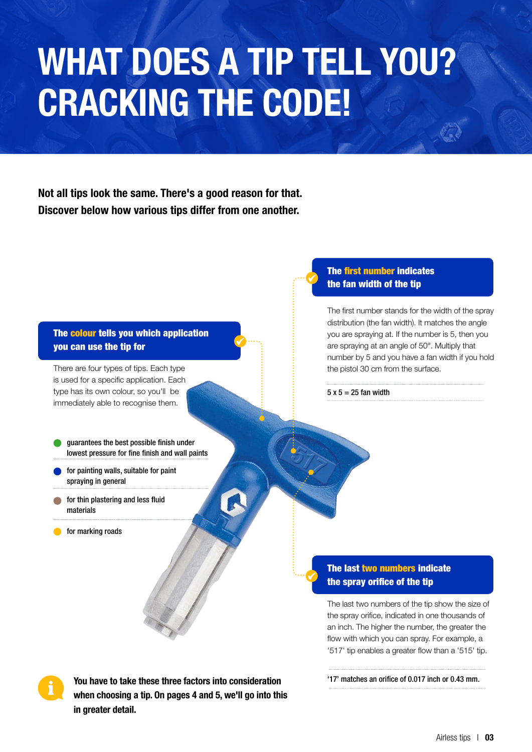# WHAT DOES A TIP TELL YOU? CRACKING THE CODE!

Not all tips look the same. There's a good reason for that. Discover below how various tips differ from one another.

#### The colour tells you which application you can use the tip for

There are four types of tips. Each type is used for a specific application. Each type has its own colour, so you'll be immediately able to recognise them.

- guarantees the best possible finish under lowest pressure for fine finish and wall paints
- for painting walls, suitable for paint spraying in general
- for thin plastering and less fluid materials
- for marking roads

#### The first number indicates the fan width of the tip

The first number stands for the width of the spray distribution (the fan width). It matches the angle you are spraying at. If the number is 5, then you are spraying at an angle of 50°. Multiply that number by 5 and you have a fan width if you hold the pistol 30 cm from the surface.

 $5 \times 5 = 25$  fan width

#### The last two numbers indicate the spray orifice of the tip

The last two numbers of the tip show the size of the spray orifice, indicated in one thousands of an inch. The higher the number, the greater the flow with which you can spray. For example, a '517' tip enables a greater flow than a '515' tip.

You have to take these three factors into consideration when choosing a tip. On pages 4 and 5, we'll go into this in greater detail.

<sup>&#</sup>x27;17' matches an orifice of 0.017 inch or 0.43 mm.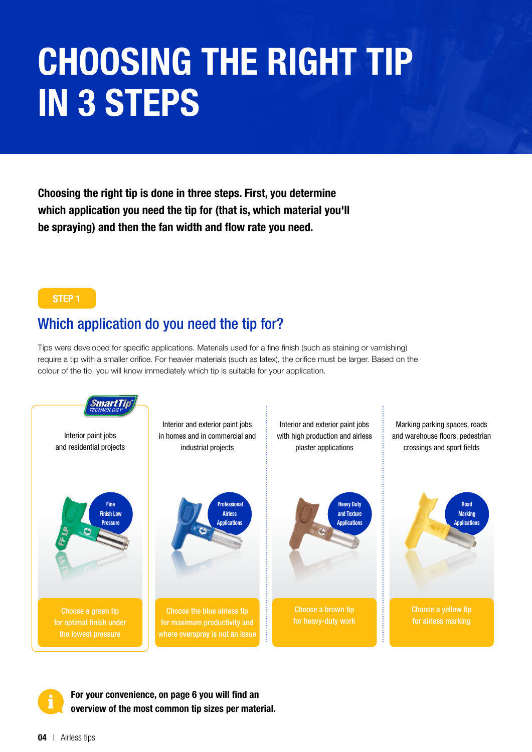# CHOOSING THE RIGHT TIP IN 3 STEPS

Choosing the right tip is done in three steps. First, you determine which application you need the tip for (that is, which material you'll be spraying) and then the fan width and flow rate you need.

#### STEP 1

## Which application do you need the tip for?

Tips were developed for specific applications. Materials used for a fine finish (such as staining or varnishing) require a tip with a smaller orifice. For heavier materials (such as latex), the orifice must be larger. Based on the colour of the tip, you will know immediately which tip is suitable for your application.



For your convenience, on page 6 you will find an overview of the most common tip sizes per material.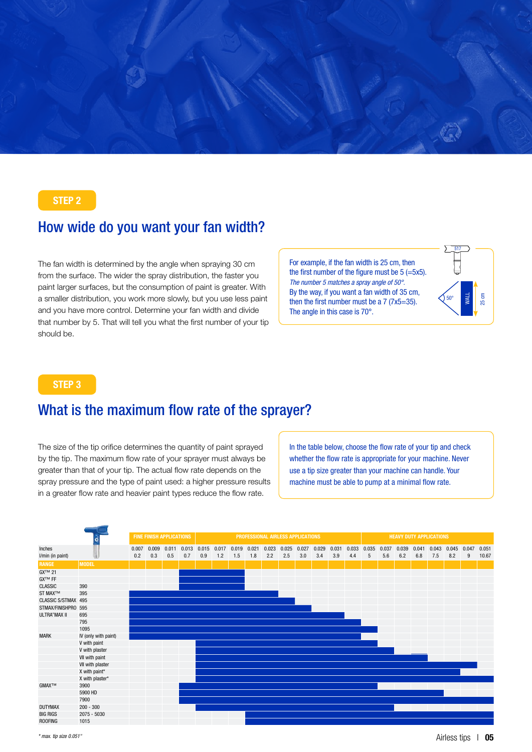

#### STEP 2

## How wide do you want your fan width?

The fan width is determined by the angle when spraying 30 cm from the surface. The wider the spray distribution, the faster you paint larger surfaces, but the consumption of paint is greater. With a smaller distribution, you work more slowly, but you use less paint and you have more control. Determine your fan width and divide that number by 5. That will tell you what the first number of your tip should be.

For example, if the fan width is 25 cm, then the first number of the figure must be 5 (=5x5). *The number 5 matches a spray angle of 50°.* By the way, if you want a fan width of 35 cm, then the first number must be a 7 (7x5=35). The angle in this case is 70°.



#### STEP 3

## What is the maximum flow rate of the sprayer?

The size of the tip orifice determines the quantity of paint sprayed by the tip. The maximum flow rate of your sprayer must always be greater than that of your tip. The actual flow rate depends on the spray pressure and the type of paint used: a higher pressure results in a greater flow rate and heavier paint types reduce the flow rate.

In the table below, choose the flow rate of your tip and check whether the flow rate is appropriate for your machine. Never use a tip size greater than your machine can handle. Your machine must be able to pump at a minimal flow rate.

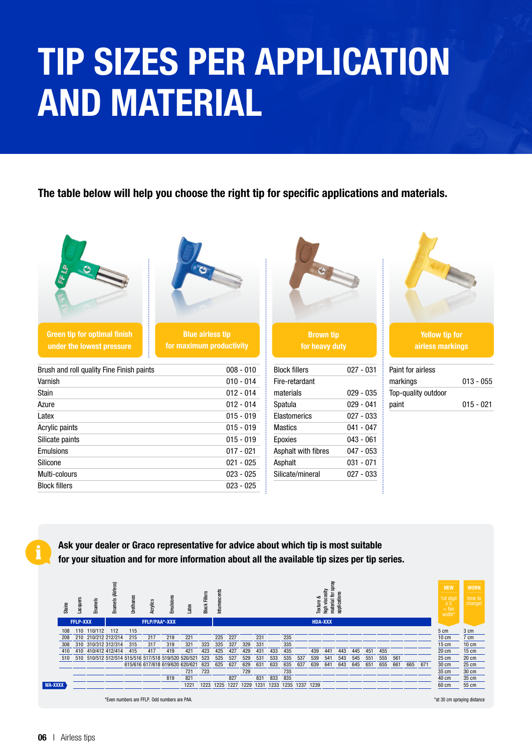# TIP SIZES PER APPLICATION AND MATERIAL

The table below will help you choose the right tip for specific applications and materials.

| $\mathbf{B}$<br><b>Green tip for optimal finish</b><br>under the lowest pressure | <b>Blue airless tip</b><br>for maximum productivity | <b>Brown tip</b><br>for heavy duty |             | <b>Yellow tip for</b><br>airless markings |             |
|----------------------------------------------------------------------------------|-----------------------------------------------------|------------------------------------|-------------|-------------------------------------------|-------------|
| Brush and roll quality Fine Finish paints                                        | $008 - 010$                                         | <b>Block fillers</b>               | $027 - 031$ | Paint for airless                         |             |
| Varnish                                                                          | $010 - 014$                                         | Fire-retardant                     |             | markings                                  | $013 - 055$ |
| Stain                                                                            | $012 - 014$                                         | materials                          | $029 - 035$ | Top-quality outdoor                       |             |
| Azure                                                                            | $012 - 014$                                         | Spatula                            | $029 - 041$ | paint                                     | $015 - 021$ |
| Latex                                                                            | $015 - 019$                                         | <b>Elastomerics</b>                | $027 - 033$ |                                           |             |
| Acrylic paints                                                                   | $015 - 019$                                         | <b>Mastics</b>                     | $041 - 047$ |                                           |             |
| Silicate paints                                                                  | $015 - 019$                                         | Epoxies                            | $043 - 061$ |                                           |             |
| Emulsions                                                                        | $017 - 021$                                         | Asphalt with fibres                | $047 - 053$ |                                           |             |
| Silicone                                                                         | $021 - 025$                                         | Asphalt                            | $031 - 071$ |                                           |             |
| Multi-colours                                                                    | $023 - 025$                                         | Silicate/mineral                   | $027 - 033$ |                                           |             |
| <b>Block fillers</b>                                                             | $023 - 025$                                         |                                    |             |                                           |             |

Ask your dealer or Graco representative for advice about which tip is most suitable for your situation and for more information about all the available tip sizes per tip series.

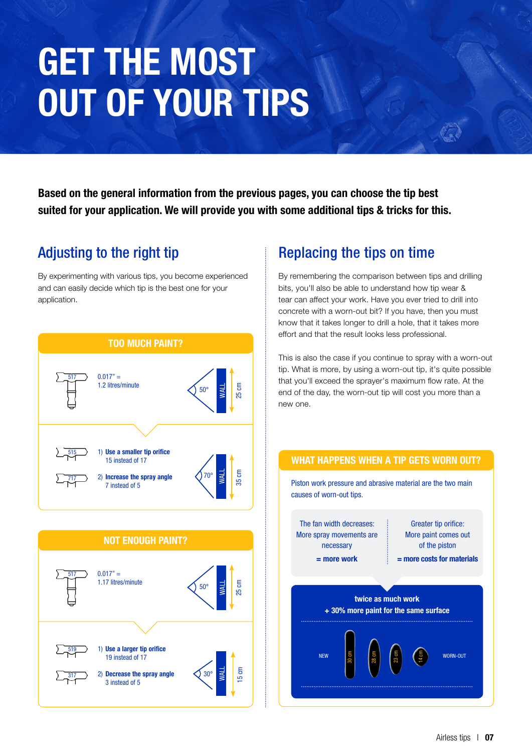# GET THE MOST OUT OF YOUR TIPS

Based on the general information from the previous pages, you can choose the tip best suited for your application. We will provide you with some additional tips & tricks for this.

# Adjusting to the right tip

By experimenting with various tips, you become experienced and can easily decide which tip is the best one for your application.



 $\overline{317}$  2) Decrease the spray angle  $\bigotimes 30^{\circ}$ 

Use a larger tip orifice 19 instead of 17

3 instead of 5

WALL

15 cm

519

# Replacing the tips on time

By remembering the comparison between tips and drilling bits, you'll also be able to understand how tip wear & tear can affect your work. Have you ever tried to drill into concrete with a worn-out bit? If you have, then you must know that it takes longer to drill a hole, that it takes more effort and that the result looks less professional.

This is also the case if you continue to spray with a worn-out tip. What is more, by using a worn-out tip, it's quite possible that you'll exceed the sprayer's maximum flow rate. At the end of the day, the worn-out tip will cost you more than a new one.